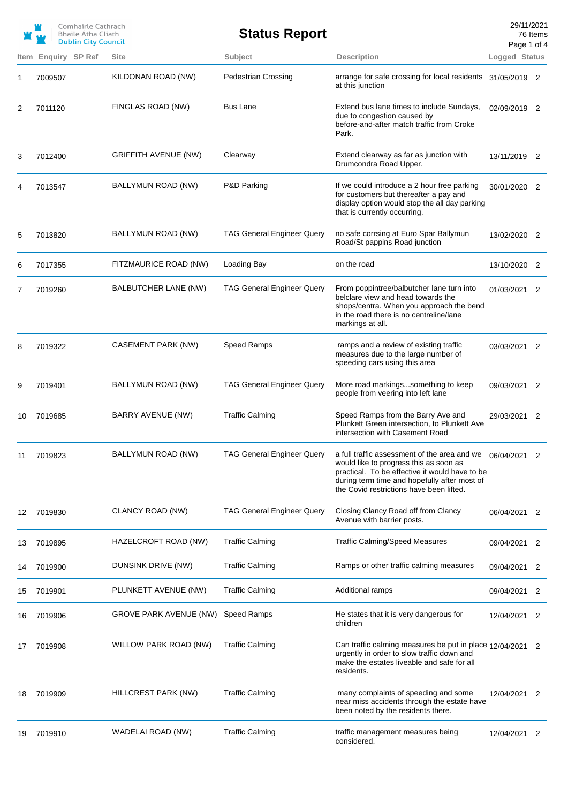|      | Comhairle Cathrach<br><b>Bhaile Atha Cliath</b><br><b>Dublin City Council</b> |  |                               | <b>Status Report</b>              |                                                                                                                                                                                                                                                     | 29/11/2021<br>76 Items<br>Page 1 of 4 |   |
|------|-------------------------------------------------------------------------------|--|-------------------------------|-----------------------------------|-----------------------------------------------------------------------------------------------------------------------------------------------------------------------------------------------------------------------------------------------------|---------------------------------------|---|
| Item | Enquiry SP Ref                                                                |  | <b>Site</b>                   | Subject                           | <b>Description</b>                                                                                                                                                                                                                                  | Logged Status                         |   |
| 1    | 7009507                                                                       |  | KILDONAN ROAD (NW)            | <b>Pedestrian Crossing</b>        | arrange for safe crossing for local residents 31/05/2019 2<br>at this junction                                                                                                                                                                      |                                       |   |
| 2    | 7011120                                                                       |  | FINGLAS ROAD (NW)             | <b>Bus Lane</b>                   | Extend bus lane times to include Sundays,<br>due to congestion caused by<br>before-and-after match traffic from Croke<br>Park.                                                                                                                      | 02/09/2019 2                          |   |
| 3    | 7012400                                                                       |  | <b>GRIFFITH AVENUE (NW)</b>   | Clearway                          | Extend clearway as far as junction with<br>Drumcondra Road Upper.                                                                                                                                                                                   | 13/11/2019 2                          |   |
| 4    | 7013547                                                                       |  | BALLYMUN ROAD (NW)            | P&D Parking                       | If we could introduce a 2 hour free parking<br>for customers but thereafter a pay and<br>display option would stop the all day parking<br>that is currently occurring.                                                                              | 30/01/2020 2                          |   |
| 5    | 7013820                                                                       |  | BALLYMUN ROAD (NW)            | <b>TAG General Engineer Query</b> | no safe corrsing at Euro Spar Ballymun<br>Road/St pappins Road junction                                                                                                                                                                             | 13/02/2020 2                          |   |
| 6    | 7017355                                                                       |  | FITZMAURICE ROAD (NW)         | Loading Bay                       | on the road                                                                                                                                                                                                                                         | 13/10/2020 2                          |   |
| 7    | 7019260                                                                       |  | BALBUTCHER LANE (NW)          | <b>TAG General Engineer Query</b> | From poppintree/balbutcher lane turn into<br>belclare view and head towards the<br>shops/centra. When you approach the bend<br>in the road there is no centreline/lane<br>markings at all.                                                          | 01/03/2021 2                          |   |
| 8    | 7019322                                                                       |  | CASEMENT PARK (NW)            | Speed Ramps                       | ramps and a review of existing traffic<br>measures due to the large number of<br>speeding cars using this area                                                                                                                                      | 03/03/2021 2                          |   |
| 9    | 7019401                                                                       |  | BALLYMUN ROAD (NW)            | <b>TAG General Engineer Query</b> | More road markingssomething to keep<br>people from veering into left lane                                                                                                                                                                           | 09/03/2021 2                          |   |
| 10   | 7019685                                                                       |  | <b>BARRY AVENUE (NW)</b>      | <b>Traffic Calming</b>            | Speed Ramps from the Barry Ave and<br>Plunkett Green intersection, to Plunkett Ave<br>intersection with Casement Road                                                                                                                               | 29/03/2021 2                          |   |
| 11   | 7019823                                                                       |  | BALLYMUN ROAD (NW)            | <b>TAG General Engineer Query</b> | a full traffic assessment of the area and we $06/04/2021$ 2<br>would like to progress this as soon as<br>practical. To be effective it would have to be<br>during term time and hopefully after most of<br>the Covid restrictions have been lifted. |                                       |   |
| 12   | 7019830                                                                       |  | CLANCY ROAD (NW)              | <b>TAG General Engineer Query</b> | Closing Clancy Road off from Clancy<br>Avenue with barrier posts.                                                                                                                                                                                   | 06/04/2021 2                          |   |
| 13   | 7019895                                                                       |  | HAZELCROFT ROAD (NW)          | <b>Traffic Calming</b>            | <b>Traffic Calming/Speed Measures</b>                                                                                                                                                                                                               | 09/04/2021                            | 2 |
| 14   | 7019900                                                                       |  | DUNSINK DRIVE (NW)            | <b>Traffic Calming</b>            | Ramps or other traffic calming measures                                                                                                                                                                                                             | 09/04/2021                            | 2 |
| 15   | 7019901                                                                       |  | PLUNKETT AVENUE (NW)          | <b>Traffic Calming</b>            | Additional ramps                                                                                                                                                                                                                                    | 09/04/2021                            | 2 |
| 16   | 7019906                                                                       |  | <b>GROVE PARK AVENUE (NW)</b> | Speed Ramps                       | He states that it is very dangerous for<br>children                                                                                                                                                                                                 | 12/04/2021 2                          |   |
| 17   | 7019908                                                                       |  | WILLOW PARK ROAD (NW)         | <b>Traffic Calming</b>            | Can traffic calming measures be put in place 12/04/2021 2<br>urgently in order to slow traffic down and<br>make the estates liveable and safe for all<br>residents.                                                                                 |                                       |   |
| 18   | 7019909                                                                       |  | HILLCREST PARK (NW)           | <b>Traffic Calming</b>            | many complaints of speeding and some<br>near miss accidents through the estate have<br>been noted by the residents there.                                                                                                                           | 12/04/2021                            | 2 |
| 19   | 7019910                                                                       |  | WADELAI ROAD (NW)             | <b>Traffic Calming</b>            | traffic management measures being<br>considered.                                                                                                                                                                                                    | 12/04/2021                            | 2 |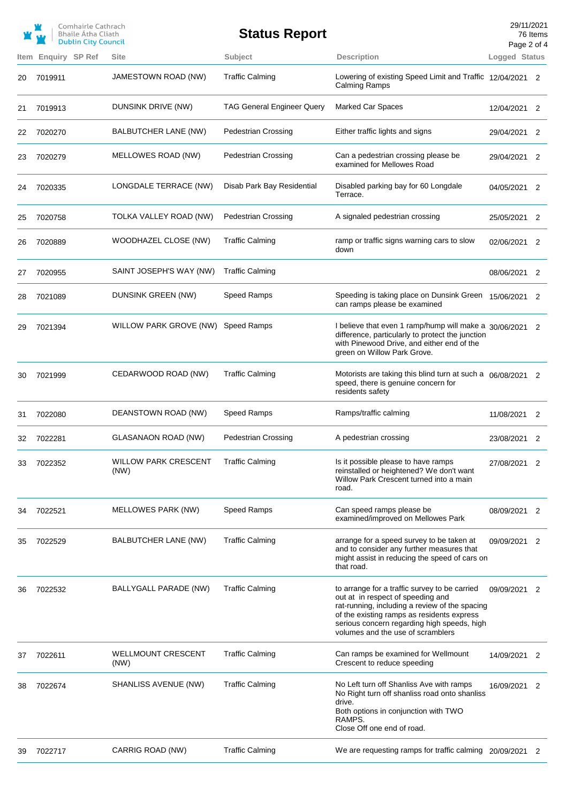|    |                            | Comhairle Cathrach<br><b>Bhaile Atha Cliath</b><br><b>Dublin City Council</b> |                                     | <b>Status Report</b>              |                                                                                                                                                                                                                                                                        | Page 2 of 4   | 29/11/2021<br>76 Items |
|----|----------------------------|-------------------------------------------------------------------------------|-------------------------------------|-----------------------------------|------------------------------------------------------------------------------------------------------------------------------------------------------------------------------------------------------------------------------------------------------------------------|---------------|------------------------|
|    | <b>Item Enguiry SP Ref</b> |                                                                               | <b>Site</b>                         | Subject                           | <b>Description</b>                                                                                                                                                                                                                                                     | Logged Status |                        |
| 20 | 7019911                    |                                                                               | JAMESTOWN ROAD (NW)                 | <b>Traffic Calming</b>            | Lowering of existing Speed Limit and Traffic 12/04/2021 2<br><b>Calming Ramps</b>                                                                                                                                                                                      |               |                        |
| 21 | 7019913                    |                                                                               | DUNSINK DRIVE (NW)                  | <b>TAG General Engineer Query</b> | <b>Marked Car Spaces</b>                                                                                                                                                                                                                                               | 12/04/2021    | 2                      |
| 22 | 7020270                    |                                                                               | BALBUTCHER LANE (NW)                | <b>Pedestrian Crossing</b>        | Either traffic lights and signs                                                                                                                                                                                                                                        | 29/04/2021    | 2                      |
| 23 | 7020279                    |                                                                               | MELLOWES ROAD (NW)                  | <b>Pedestrian Crossing</b>        | Can a pedestrian crossing please be<br>examined for Mellowes Road                                                                                                                                                                                                      | 29/04/2021 2  |                        |
| 24 | 7020335                    |                                                                               | LONGDALE TERRACE (NW)               | Disab Park Bay Residential        | Disabled parking bay for 60 Longdale<br>Terrace.                                                                                                                                                                                                                       | 04/05/2021 2  |                        |
| 25 | 7020758                    |                                                                               | TOLKA VALLEY ROAD (NW)              | Pedestrian Crossing               | A signaled pedestrian crossing                                                                                                                                                                                                                                         | 25/05/2021    | 2                      |
| 26 | 7020889                    |                                                                               | WOODHAZEL CLOSE (NW)                | <b>Traffic Calming</b>            | ramp or traffic signs warning cars to slow<br>down                                                                                                                                                                                                                     | 02/06/2021    | 2                      |
| 27 | 7020955                    |                                                                               | SAINT JOSEPH'S WAY (NW)             | <b>Traffic Calming</b>            |                                                                                                                                                                                                                                                                        | 08/06/2021    | 2                      |
| 28 | 7021089                    |                                                                               | DUNSINK GREEN (NW)                  | Speed Ramps                       | Speeding is taking place on Dunsink Green 15/06/2021<br>can ramps please be examined                                                                                                                                                                                   |               | 2                      |
| 29 | 7021394                    |                                                                               | WILLOW PARK GROVE (NW)              | <b>Speed Ramps</b>                | I believe that even 1 ramp/hump will make a 30/06/2021<br>difference, particularly to protect the junction<br>with Pinewood Drive, and either end of the<br>green on Willow Park Grove.                                                                                |               | 2                      |
| 30 | 7021999                    |                                                                               | CEDARWOOD ROAD (NW)                 | <b>Traffic Calming</b>            | Motorists are taking this blind turn at such a 06/08/2021 2<br>speed, there is genuine concern for<br>residents safety                                                                                                                                                 |               |                        |
| 31 | 7022080                    |                                                                               | DEANSTOWN ROAD (NW)                 | Speed Ramps                       | Ramps/traffic calming                                                                                                                                                                                                                                                  | 11/08/2021    | 2                      |
| 32 | 7022281                    |                                                                               | <b>GLASANAON ROAD (NW)</b>          | <b>Pedestrian Crossing</b>        | A pedestrian crossing                                                                                                                                                                                                                                                  | 23/08/2021    | 2                      |
| 33 | 7022352                    |                                                                               | <b>WILLOW PARK CRESCENT</b><br>(NW) | <b>Traffic Calming</b>            | Is it possible please to have ramps<br>reinstalled or heightened? We don't want<br>Willow Park Crescent turned into a main<br>road.                                                                                                                                    | 27/08/2021    | 2                      |
| 34 | 7022521                    |                                                                               | MELLOWES PARK (NW)                  | Speed Ramps                       | Can speed ramps please be<br>examined/improved on Mellowes Park                                                                                                                                                                                                        | 08/09/2021 2  |                        |
| 35 | 7022529                    |                                                                               | BALBUTCHER LANE (NW)                | <b>Traffic Calming</b>            | arrange for a speed survey to be taken at<br>and to consider any further measures that<br>might assist in reducing the speed of cars on<br>that road.                                                                                                                  | 09/09/2021    | 2                      |
| 36 | 7022532                    |                                                                               | BALLYGALL PARADE (NW)               | <b>Traffic Calming</b>            | to arrange for a traffic survey to be carried<br>out at in respect of speeding and<br>rat-running, including a review of the spacing<br>of the existing ramps as residents express<br>serious concern regarding high speeds, high<br>volumes and the use of scramblers | 09/09/2021    | 2                      |
| 37 | 7022611                    |                                                                               | <b>WELLMOUNT CRESCENT</b><br>(NW)   | <b>Traffic Calming</b>            | Can ramps be examined for Wellmount<br>Crescent to reduce speeding                                                                                                                                                                                                     | 14/09/2021 2  |                        |
| 38 | 7022674                    |                                                                               | SHANLISS AVENUE (NW)                | <b>Traffic Calming</b>            | No Left turn off Shanliss Ave with ramps<br>No Right turn off shanliss road onto shanliss<br>drive.<br>Both options in conjunction with TWO<br>RAMPS.<br>Close Off one end of road.                                                                                    | 16/09/2021    | 2                      |
| 39 | 7022717                    |                                                                               | CARRIG ROAD (NW)                    | <b>Traffic Calming</b>            | We are requesting ramps for traffic calming 20/09/2021 2                                                                                                                                                                                                               |               |                        |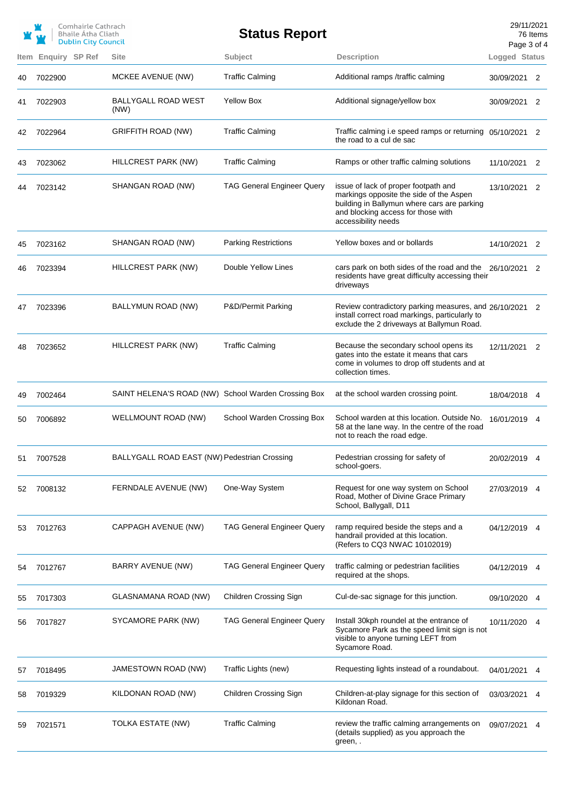|      |                | Comhairle Cathrach<br>Bhaile Átha Cliath<br><b>Dublin City Council</b> |                                                     | <b>Status Report</b>              |                                                                                                                                                                                             | 29/11/2021<br>Page 3 of 4 | 76 Items |
|------|----------------|------------------------------------------------------------------------|-----------------------------------------------------|-----------------------------------|---------------------------------------------------------------------------------------------------------------------------------------------------------------------------------------------|---------------------------|----------|
| Item | Enquiry SP Ref |                                                                        | <b>Site</b>                                         | Subject                           | <b>Description</b>                                                                                                                                                                          | Logged Status             |          |
| 40   | 7022900        |                                                                        | MCKEE AVENUE (NW)                                   | <b>Traffic Calming</b>            | Additional ramps /traffic calming                                                                                                                                                           | 30/09/2021                | 2        |
| 41   | 7022903        |                                                                        | <b>BALLYGALL ROAD WEST</b><br>(NW)                  | <b>Yellow Box</b>                 | Additional signage/yellow box                                                                                                                                                               | 30/09/2021 2              |          |
| 42   | 7022964        |                                                                        | <b>GRIFFITH ROAD (NW)</b>                           | <b>Traffic Calming</b>            | Traffic calming i.e speed ramps or returning 05/10/2021<br>the road to a cul de sac                                                                                                         |                           | 2        |
| 43   | 7023062        |                                                                        | HILLCREST PARK (NW)                                 | <b>Traffic Calming</b>            | Ramps or other traffic calming solutions                                                                                                                                                    | 11/10/2021                | 2        |
| 44   | 7023142        |                                                                        | SHANGAN ROAD (NW)                                   | <b>TAG General Engineer Query</b> | issue of lack of proper footpath and<br>markings opposite the side of the Aspen<br>building in Ballymun where cars are parking<br>and blocking access for those with<br>accessibility needs | 13/10/2021                | 2        |
| 45   | 7023162        |                                                                        | SHANGAN ROAD (NW)                                   | <b>Parking Restrictions</b>       | Yellow boxes and or bollards                                                                                                                                                                | 14/10/2021                | 2        |
| 46   | 7023394        |                                                                        | HILLCREST PARK (NW)                                 | Double Yellow Lines               | cars park on both sides of the road and the<br>residents have great difficulty accessing their<br>driveways                                                                                 | 26/10/2021 2              |          |
| 47   | 7023396        |                                                                        | BALLYMUN ROAD (NW)                                  | P&D/Permit Parking                | Review contradictory parking measures, and 26/10/2021 2<br>install correct road markings, particularly to<br>exclude the 2 driveways at Ballymun Road.                                      |                           |          |
| 48   | 7023652        |                                                                        | HILLCREST PARK (NW)                                 | <b>Traffic Calming</b>            | Because the secondary school opens its<br>gates into the estate it means that cars<br>come in volumes to drop off students and at<br>collection times.                                      | 12/11/2021                | 2        |
| 49   | 7002464        |                                                                        | SAINT HELENA'S ROAD (NW) School Warden Crossing Box |                                   | at the school warden crossing point.                                                                                                                                                        | 18/04/2018                | 4        |
| 50   | 7006892        |                                                                        | WELLMOUNT ROAD (NW)                                 | School Warden Crossing Box        | School warden at this location. Outside No.<br>58 at the lane way. In the centre of the road<br>not to reach the road edge.                                                                 | 16/01/2019                | 4        |
| 51   | 7007528        |                                                                        | BALLYGALL ROAD EAST (NW) Pedestrian Crossing        |                                   | Pedestrian crossing for safety of<br>school-goers.                                                                                                                                          | 20/02/2019 4              |          |
| 52   | 7008132        |                                                                        | FERNDALE AVENUE (NW)                                | One-Way System                    | Request for one way system on School<br>Road, Mother of Divine Grace Primary<br>School, Ballygall, D11                                                                                      | 27/03/2019 4              |          |
| 53   | 7012763        |                                                                        | <b>CAPPAGH AVENUE (NW)</b>                          | <b>TAG General Engineer Query</b> | ramp required beside the steps and a<br>handrail provided at this location.<br>(Refers to CQ3 NWAC 10102019)                                                                                | 04/12/2019 4              |          |
| 54   | 7012767        |                                                                        | BARRY AVENUE (NW)                                   | <b>TAG General Engineer Query</b> | traffic calming or pedestrian facilities<br>required at the shops.                                                                                                                          | 04/12/2019 4              |          |
| 55   | 7017303        |                                                                        | GLASNAMANA ROAD (NW)                                | Children Crossing Sign            | Cul-de-sac signage for this junction.                                                                                                                                                       | 09/10/2020                | 4        |
| 56   | 7017827        |                                                                        | SYCAMORE PARK (NW)                                  | <b>TAG General Engineer Query</b> | Install 30kph roundel at the entrance of<br>Sycamore Park as the speed limit sign is not<br>visible to anyone turning LEFT from<br>Sycamore Road.                                           | 10/11/2020                | 4        |
| 57   | 7018495        |                                                                        | JAMESTOWN ROAD (NW)                                 | Traffic Lights (new)              | Requesting lights instead of a roundabout.                                                                                                                                                  | 04/01/2021                | 4        |
| 58   | 7019329        |                                                                        | KILDONAN ROAD (NW)                                  | Children Crossing Sign            | Children-at-play signage for this section of<br>Kildonan Road.                                                                                                                              | 03/03/2021                | 4        |
| 59   | 7021571        |                                                                        | TOLKA ESTATE (NW)                                   | <b>Traffic Calming</b>            | review the traffic calming arrangements on<br>(details supplied) as you approach the<br>green, .                                                                                            | 09/07/2021                | 4        |